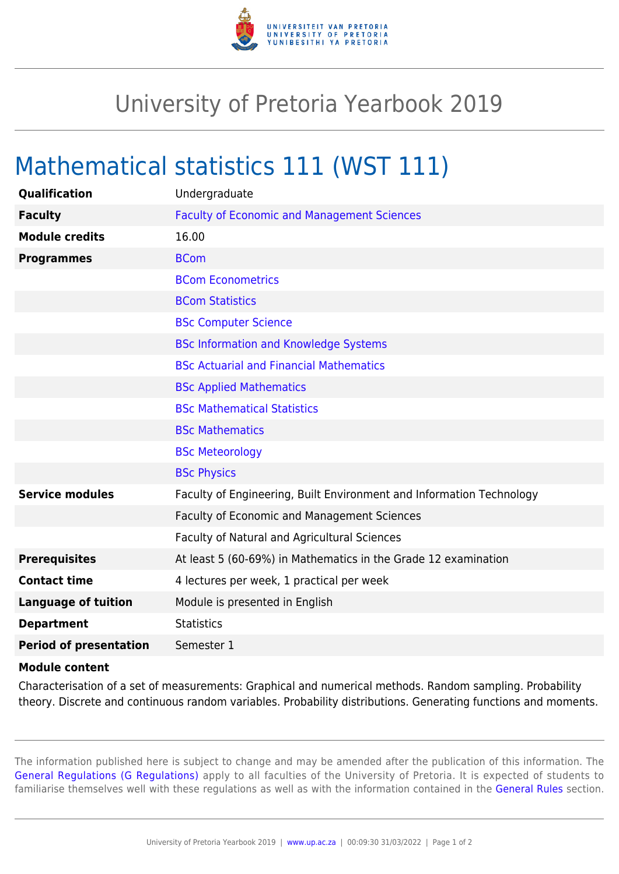

## University of Pretoria Yearbook 2019

## Mathematical statistics 111 (WST 111)

| Qualification                 | Undergraduate                                                        |
|-------------------------------|----------------------------------------------------------------------|
| <b>Faculty</b>                | <b>Faculty of Economic and Management Sciences</b>                   |
| <b>Module credits</b>         | 16.00                                                                |
| <b>Programmes</b>             | <b>BCom</b>                                                          |
|                               | <b>BCom Econometrics</b>                                             |
|                               | <b>BCom Statistics</b>                                               |
|                               | <b>BSc Computer Science</b>                                          |
|                               | <b>BSc Information and Knowledge Systems</b>                         |
|                               | <b>BSc Actuarial and Financial Mathematics</b>                       |
|                               | <b>BSc Applied Mathematics</b>                                       |
|                               | <b>BSc Mathematical Statistics</b>                                   |
|                               | <b>BSc Mathematics</b>                                               |
|                               | <b>BSc Meteorology</b>                                               |
|                               | <b>BSc Physics</b>                                                   |
| <b>Service modules</b>        | Faculty of Engineering, Built Environment and Information Technology |
|                               | Faculty of Economic and Management Sciences                          |
|                               | Faculty of Natural and Agricultural Sciences                         |
| <b>Prerequisites</b>          | At least 5 (60-69%) in Mathematics in the Grade 12 examination       |
| <b>Contact time</b>           | 4 lectures per week, 1 practical per week                            |
| <b>Language of tuition</b>    | Module is presented in English                                       |
| <b>Department</b>             | <b>Statistics</b>                                                    |
| <b>Period of presentation</b> | Semester 1                                                           |
| <b>Module content</b>         |                                                                      |

## Characterisation of a set of measurements: Graphical and numerical methods. Random sampling. Probability theory. Discrete and continuous random variables. Probability distributions. Generating functions and moments.

The information published here is subject to change and may be amended after the publication of this information. The [General Regulations \(G Regulations\)](https://www.up.ac.za/yearbooks/2019/rules/view/REG) apply to all faculties of the University of Pretoria. It is expected of students to familiarise themselves well with these regulations as well as with the information contained in the [General Rules](https://www.up.ac.za/yearbooks/2019/rules/view/RUL) section.